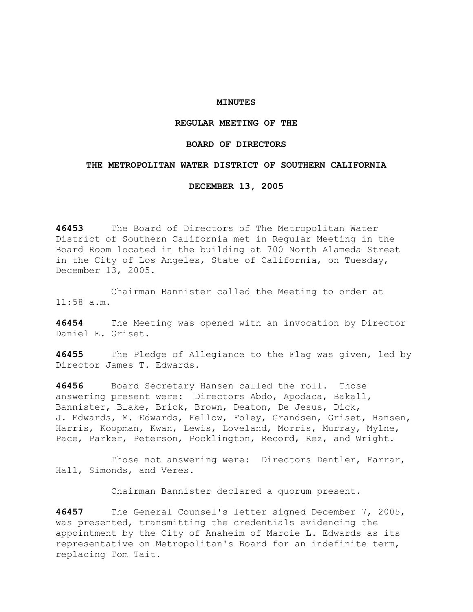## **MINUTES**

# **REGULAR MEETING OF THE**

### **BOARD OF DIRECTORS**

### **THE METROPOLITAN WATER DISTRICT OF SOUTHERN CALIFORNIA**

**DECEMBER 13, 2005** 

**46453** The Board of Directors of The Metropolitan Water District of Southern California met in Regular Meeting in the Board Room located in the building at 700 North Alameda Street in the City of Los Angeles, State of California, on Tuesday, December 13, 2005.

 Chairman Bannister called the Meeting to order at 11:58 a.m.

**46454** The Meeting was opened with an invocation by Director Daniel E. Griset.

**46455** The Pledge of Allegiance to the Flag was given, led by Director James T. Edwards.

**46456** Board Secretary Hansen called the roll. Those answering present were: Directors Abdo, Apodaca, Bakall, Bannister, Blake, Brick, Brown, Deaton, De Jesus, Dick, J. Edwards, M. Edwards, Fellow, Foley, Grandsen, Griset, Hansen, Harris, Koopman, Kwan, Lewis, Loveland, Morris, Murray, Mylne, Pace, Parker, Peterson, Pocklington, Record, Rez, and Wright.

Those not answering were: Directors Dentler, Farrar, Hall, Simonds, and Veres.

Chairman Bannister declared a quorum present.

**46457** The General Counsel's letter signed December 7, 2005, was presented, transmitting the credentials evidencing the appointment by the City of Anaheim of Marcie L. Edwards as its representative on Metropolitan's Board for an indefinite term, replacing Tom Tait.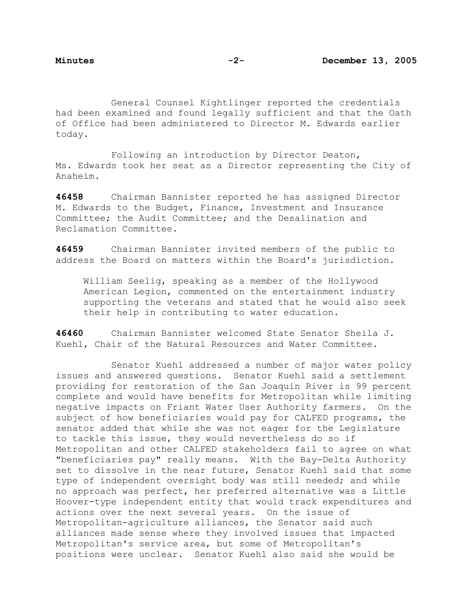General Counsel Kightlinger reported the credentials had been examined and found legally sufficient and that the Oath of Office had been administered to Director M. Edwards earlier today.

 Following an introduction by Director Deaton, Ms. Edwards took her seat as a Director representing the City of Anaheim.

**46458** Chairman Bannister reported he has assigned Director M. Edwards to the Budget, Finance, Investment and Insurance Committee; the Audit Committee; and the Desalination and Reclamation Committee.

**46459** Chairman Bannister invited members of the public to address the Board on matters within the Board's jurisdiction.

William Seelig, speaking as a member of the Hollywood American Legion, commented on the entertainment industry supporting the veterans and stated that he would also seek their help in contributing to water education.

**46460** Chairman Bannister welcomed State Senator Sheila J. Kuehl, Chair of the Natural Resources and Water Committee.

 Senator Kuehl addressed a number of major water policy issues and answered questions. Senator Kuehl said a settlement providing for restoration of the San Joaquin River is 99 percent complete and would have benefits for Metropolitan while limiting negative impacts on Friant Water User Authority farmers. On the subject of how beneficiaries would pay for CALFED programs, the senator added that while she was not eager for the Legislature to tackle this issue, they would nevertheless do so if Metropolitan and other CALFED stakeholders fail to agree on what "beneficiaries pay" really means. With the Bay-Delta Authority set to dissolve in the near future, Senator Kuehl said that some type of independent oversight body was still needed; and while no approach was perfect, her preferred alternative was a Little Hoover-type independent entity that would track expenditures and actions over the next several years. On the issue of Metropolitan-agriculture alliances, the Senator said such alliances made sense where they involved issues that impacted Metropolitan's service area, but some of Metropolitan's positions were unclear. Senator Kuehl also said she would be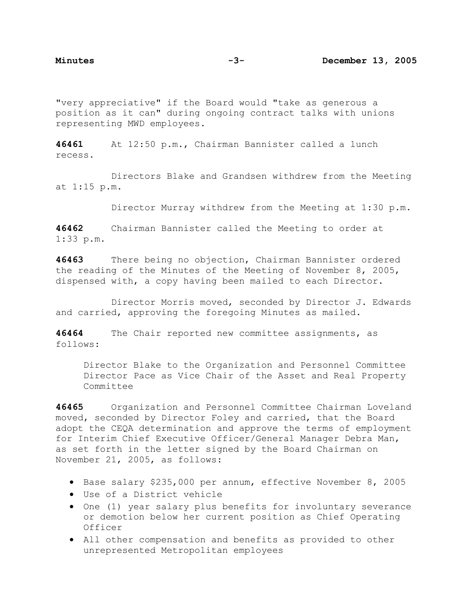"very appreciative" if the Board would "take as generous a position as it can" during ongoing contract talks with unions representing MWD employees.

**46461** At 12:50 p.m., Chairman Bannister called a lunch recess.

 Directors Blake and Grandsen withdrew from the Meeting at 1:15 p.m.

Director Murray withdrew from the Meeting at 1:30 p.m.

**46462** Chairman Bannister called the Meeting to order at 1:33 p.m.

**46463** There being no objection, Chairman Bannister ordered the reading of the Minutes of the Meeting of November 8, 2005, dispensed with, a copy having been mailed to each Director.

 Director Morris moved, seconded by Director J. Edwards and carried, approving the foregoing Minutes as mailed.

**46464** The Chair reported new committee assignments, as follows:

Director Blake to the Organization and Personnel Committee Director Pace as Vice Chair of the Asset and Real Property Committee

**46465** Organization and Personnel Committee Chairman Loveland moved, seconded by Director Foley and carried, that the Board adopt the CEQA determination and approve the terms of employment for Interim Chief Executive Officer/General Manager Debra Man, as set forth in the letter signed by the Board Chairman on November 21, 2005, as follows:

- Base salary \$235,000 per annum, effective November 8, 2005
- Use of a District vehicle
- One (1) year salary plus benefits for involuntary severance or demotion below her current position as Chief Operating Officer
- All other compensation and benefits as provided to other unrepresented Metropolitan employees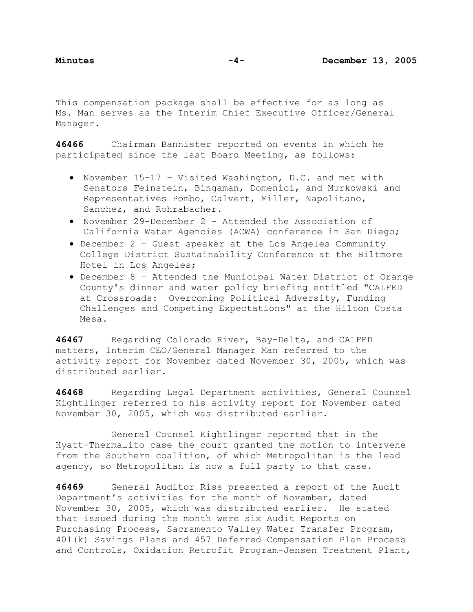This compensation package shall be effective for as long as Ms. Man serves as the Interim Chief Executive Officer/General Manager.

**46466** Chairman Bannister reported on events in which he participated since the last Board Meeting, as follows:

- November 15-17 Visited Washington, D.C. and met with Senators Feinstein, Bingaman, Domenici, and Murkowski and Representatives Pombo, Calvert, Miller, Napolitano, Sanchez, and Rohrabacher.
- November 29-December 2 Attended the Association of California Water Agencies (ACWA) conference in San Diego;
- December 2 Guest speaker at the Los Angeles Community College District Sustainability Conference at the Biltmore Hotel in Los Angeles;
- December 8 Attended the Municipal Water District of Orange County's dinner and water policy briefing entitled "CALFED at Crossroads: Overcoming Political Adversity, Funding Challenges and Competing Expectations" at the Hilton Costa Mesa.

**46467** Regarding Colorado River, Bay-Delta, and CALFED matters, Interim CEO/General Manager Man referred to the activity report for November dated November 30, 2005, which was distributed earlier.

**46468** Regarding Legal Department activities, General Counsel Kightlinger referred to his activity report for November dated November 30, 2005, which was distributed earlier.

 General Counsel Kightlinger reported that in the Hyatt-Thermalito case the court granted the motion to intervene from the Southern coalition, of which Metropolitan is the lead agency, so Metropolitan is now a full party to that case.

**46469** General Auditor Riss presented a report of the Audit Department's activities for the month of November, dated November 30, 2005, which was distributed earlier. He stated that issued during the month were six Audit Reports on Purchasing Process, Sacramento Valley Water Transfer Program, 401(k) Savings Plans and 457 Deferred Compensation Plan Process and Controls, Oxidation Retrofit Program-Jensen Treatment Plant,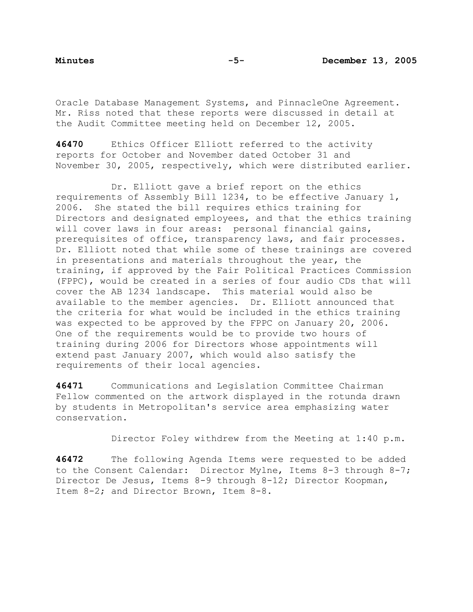Oracle Database Management Systems, and PinnacleOne Agreement. Mr. Riss noted that these reports were discussed in detail at the Audit Committee meeting held on December 12, 2005.

**46470** Ethics Officer Elliott referred to the activity reports for October and November dated October 31 and November 30, 2005, respectively, which were distributed earlier.

 Dr. Elliott gave a brief report on the ethics requirements of Assembly Bill 1234, to be effective January 1, 2006. She stated the bill requires ethics training for Directors and designated employees, and that the ethics training will cover laws in four areas: personal financial gains, prerequisites of office, transparency laws, and fair processes. Dr. Elliott noted that while some of these trainings are covered in presentations and materials throughout the year, the training, if approved by the Fair Political Practices Commission (FPPC), would be created in a series of four audio CDs that will cover the AB 1234 landscape. This material would also be available to the member agencies. Dr. Elliott announced that the criteria for what would be included in the ethics training was expected to be approved by the FPPC on January 20, 2006. One of the requirements would be to provide two hours of training during 2006 for Directors whose appointments will extend past January 2007, which would also satisfy the requirements of their local agencies.

**46471** Communications and Legislation Committee Chairman Fellow commented on the artwork displayed in the rotunda drawn by students in Metropolitan's service area emphasizing water conservation.

Director Foley withdrew from the Meeting at 1:40 p.m.

**46472** The following Agenda Items were requested to be added to the Consent Calendar: Director Mylne, Items 8-3 through 8-7; Director De Jesus, Items 8-9 through 8-12; Director Koopman, Item 8-2; and Director Brown, Item 8-8.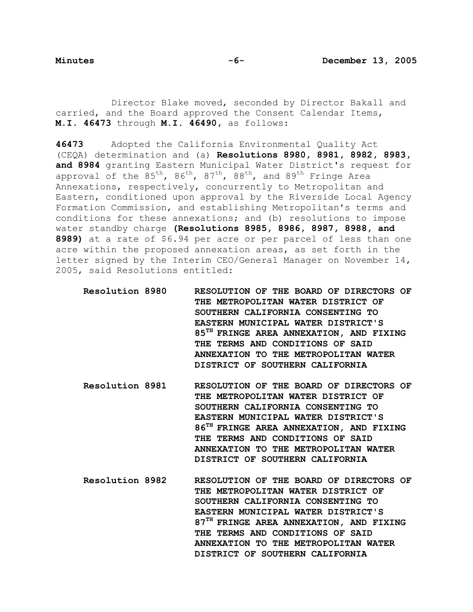Director Blake moved, seconded by Director Bakall and carried, and the Board approved the Consent Calendar Items, **M.I. 46473** through **M.I. 46490,** as follows:

**46473** Adopted the California Environmental Quality Act (CEQA) determination and (a) **Resolutions 8980, 8981, 8982, 8983, and 8984** granting Eastern Municipal Water District's request for approval of the  $85^{th}$ ,  $86^{th}$ ,  $87^{th}$ ,  $88^{th}$ , and  $89^{th}$  Fringe Area Annexations, respectively, concurrently to Metropolitan and Eastern, conditioned upon approval by the Riverside Local Agency Formation Commission, and establishing Metropolitan's terms and conditions for these annexations; and (b) resolutions to impose water standby charge **(Resolutions 8985, 8986, 8987, 8988, and 8989)** at a rate of \$6.94 per acre or per parcel of less than one acre within the proposed annexation areas, as set forth in the letter signed by the Interim CEO/General Manager on November 14, 2005, said Resolutions entitled:

- **Resolution 8980 RESOLUTION OF THE BOARD OF DIRECTORS OF THE METROPOLITAN WATER DISTRICT OF SOUTHERN CALIFORNIA CONSENTING TO EASTERN MUNICIPAL WATER DISTRICT'S 85TH FRINGE AREA ANNEXATION, AND FIXING THE TERMS AND CONDITIONS OF SAID ANNEXATION TO THE METROPOLITAN WATER DISTRICT OF SOUTHERN CALIFORNIA**
- **Resolution 8981 RESOLUTION OF THE BOARD OF DIRECTORS OF THE METROPOLITAN WATER DISTRICT OF SOUTHERN CALIFORNIA CONSENTING TO EASTERN MUNICIPAL WATER DISTRICT'S 86TH FRINGE AREA ANNEXATION, AND FIXING THE TERMS AND CONDITIONS OF SAID ANNEXATION TO THE METROPOLITAN WATER DISTRICT OF SOUTHERN CALIFORNIA**
- **Resolution 8982 RESOLUTION OF THE BOARD OF DIRECTORS OF THE METROPOLITAN WATER DISTRICT OF SOUTHERN CALIFORNIA CONSENTING TO EASTERN MUNICIPAL WATER DISTRICT'S 87TH FRINGE AREA ANNEXATION, AND FIXING THE TERMS AND CONDITIONS OF SAID ANNEXATION TO THE METROPOLITAN WATER DISTRICT OF SOUTHERN CALIFORNIA**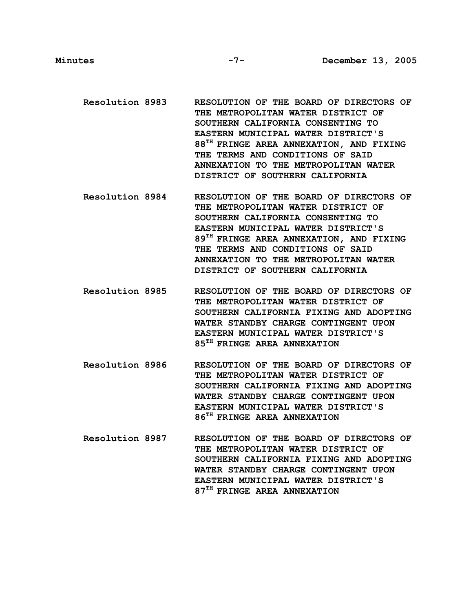- **Resolution 8983 RESOLUTION OF THE BOARD OF DIRECTORS OF THE METROPOLITAN WATER DISTRICT OF SOUTHERN CALIFORNIA CONSENTING TO EASTERN MUNICIPAL WATER DISTRICT'S 88TH FRINGE AREA ANNEXATION, AND FIXING THE TERMS AND CONDITIONS OF SAID ANNEXATION TO THE METROPOLITAN WATER DISTRICT OF SOUTHERN CALIFORNIA**
- **Resolution 8984 RESOLUTION OF THE BOARD OF DIRECTORS OF THE METROPOLITAN WATER DISTRICT OF SOUTHERN CALIFORNIA CONSENTING TO EASTERN MUNICIPAL WATER DISTRICT'S 89TH FRINGE AREA ANNEXATION, AND FIXING THE TERMS AND CONDITIONS OF SAID ANNEXATION TO THE METROPOLITAN WATER DISTRICT OF SOUTHERN CALIFORNIA**
- **Resolution 8985 RESOLUTION OF THE BOARD OF DIRECTORS OF THE METROPOLITAN WATER DISTRICT OF SOUTHERN CALIFORNIA FIXING AND ADOPTING WATER STANDBY CHARGE CONTINGENT UPON EASTERN MUNICIPAL WATER DISTRICT'S 85TH FRINGE AREA ANNEXATION**
- **Resolution 8986 RESOLUTION OF THE BOARD OF DIRECTORS OF THE METROPOLITAN WATER DISTRICT OF SOUTHERN CALIFORNIA FIXING AND ADOPTING WATER STANDBY CHARGE CONTINGENT UPON EASTERN MUNICIPAL WATER DISTRICT'S 86TH FRINGE AREA ANNEXATION**
- **Resolution 8987 RESOLUTION OF THE BOARD OF DIRECTORS OF THE METROPOLITAN WATER DISTRICT OF SOUTHERN CALIFORNIA FIXING AND ADOPTING WATER STANDBY CHARGE CONTINGENT UPON EASTERN MUNICIPAL WATER DISTRICT'S 87TH FRINGE AREA ANNEXATION**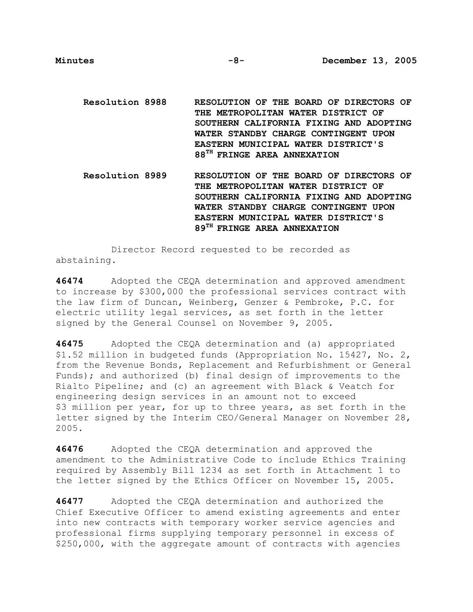**Resolution 8988 RESOLUTION OF THE BOARD OF DIRECTORS OF THE METROPOLITAN WATER DISTRICT OF SOUTHERN CALIFORNIA FIXING AND ADOPTING WATER STANDBY CHARGE CONTINGENT UPON EASTERN MUNICIPAL WATER DISTRICT'S 88TH FRINGE AREA ANNEXATION** 

**Resolution 8989 RESOLUTION OF THE BOARD OF DIRECTORS OF THE METROPOLITAN WATER DISTRICT OF SOUTHERN CALIFORNIA FIXING AND ADOPTING WATER STANDBY CHARGE CONTINGENT UPON EASTERN MUNICIPAL WATER DISTRICT'S 89TH FRINGE AREA ANNEXATION** 

 Director Record requested to be recorded as abstaining.

**46474** Adopted the CEQA determination and approved amendment to increase by \$300,000 the professional services contract with the law firm of Duncan, Weinberg, Genzer & Pembroke, P.C. for electric utility legal services, as set forth in the letter signed by the General Counsel on November 9, 2005.

**46475** Adopted the CEQA determination and (a) appropriated \$1.52 million in budgeted funds (Appropriation No. 15427, No. 2, from the Revenue Bonds, Replacement and Refurbishment or General Funds); and authorized (b) final design of improvements to the Rialto Pipeline; and (c) an agreement with Black & Veatch for engineering design services in an amount not to exceed \$3 million per year, for up to three years, as set forth in the letter signed by the Interim CEO/General Manager on November 28, 2005.

**46476** Adopted the CEQA determination and approved the amendment to the Administrative Code to include Ethics Training required by Assembly Bill 1234 as set forth in Attachment 1 to the letter signed by the Ethics Officer on November 15, 2005.

**46477** Adopted the CEQA determination and authorized the Chief Executive Officer to amend existing agreements and enter into new contracts with temporary worker service agencies and professional firms supplying temporary personnel in excess of \$250,000, with the aggregate amount of contracts with agencies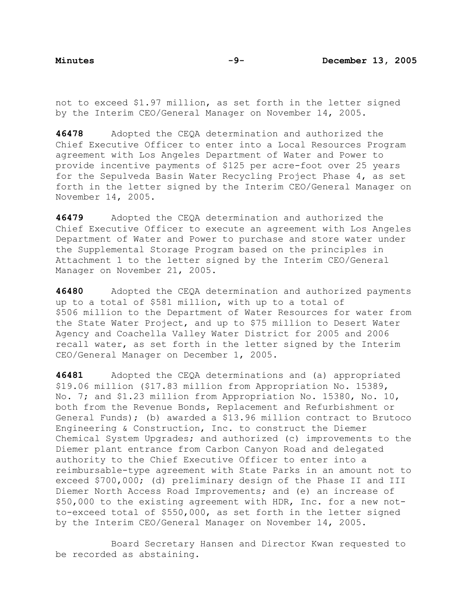not to exceed \$1.97 million, as set forth in the letter signed by the Interim CEO/General Manager on November 14, 2005.

**46478** Adopted the CEQA determination and authorized the Chief Executive Officer to enter into a Local Resources Program agreement with Los Angeles Department of Water and Power to provide incentive payments of \$125 per acre-foot over 25 years for the Sepulveda Basin Water Recycling Project Phase 4, as set forth in the letter signed by the Interim CEO/General Manager on November 14, 2005.

**46479** Adopted the CEQA determination and authorized the Chief Executive Officer to execute an agreement with Los Angeles Department of Water and Power to purchase and store water under the Supplemental Storage Program based on the principles in Attachment 1 to the letter signed by the Interim CEO/General Manager on November 21, 2005.

**46480** Adopted the CEQA determination and authorized payments up to a total of \$581 million, with up to a total of \$506 million to the Department of Water Resources for water from the State Water Project, and up to \$75 million to Desert Water Agency and Coachella Valley Water District for 2005 and 2006 recall water, as set forth in the letter signed by the Interim CEO/General Manager on December 1, 2005.

**46481** Adopted the CEQA determinations and (a) appropriated \$19.06 million (\$17.83 million from Appropriation No. 15389, No. 7; and \$1.23 million from Appropriation No. 15380, No. 10, both from the Revenue Bonds, Replacement and Refurbishment or General Funds); (b) awarded a \$13.96 million contract to Brutoco Engineering & Construction, Inc. to construct the Diemer Chemical System Upgrades; and authorized (c) improvements to the Diemer plant entrance from Carbon Canyon Road and delegated authority to the Chief Executive Officer to enter into a reimbursable-type agreement with State Parks in an amount not to exceed \$700,000; (d) preliminary design of the Phase II and III Diemer North Access Road Improvements; and (e) an increase of \$50,000 to the existing agreement with HDR, Inc. for a new notto-exceed total of \$550,000, as set forth in the letter signed by the Interim CEO/General Manager on November 14, 2005.

 Board Secretary Hansen and Director Kwan requested to be recorded as abstaining.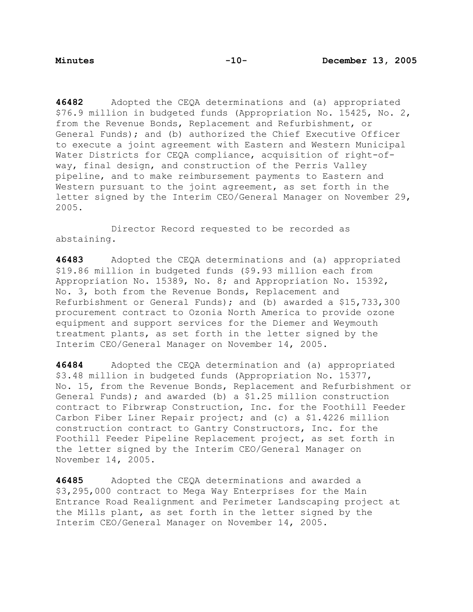**46482** Adopted the CEQA determinations and (a) appropriated \$76.9 million in budgeted funds (Appropriation No. 15425, No. 2, from the Revenue Bonds, Replacement and Refurbishment, or General Funds); and (b) authorized the Chief Executive Officer to execute a joint agreement with Eastern and Western Municipal Water Districts for CEQA compliance, acquisition of right-ofway, final design, and construction of the Perris Valley pipeline, and to make reimbursement payments to Eastern and Western pursuant to the joint agreement, as set forth in the letter signed by the Interim CEO/General Manager on November 29, 2005.

 Director Record requested to be recorded as abstaining.

**46483** Adopted the CEQA determinations and (a) appropriated \$19.86 million in budgeted funds (\$9.93 million each from Appropriation No. 15389, No. 8; and Appropriation No. 15392, No. 3, both from the Revenue Bonds, Replacement and Refurbishment or General Funds); and (b) awarded a \$15,733,300 procurement contract to Ozonia North America to provide ozone equipment and support services for the Diemer and Weymouth treatment plants, as set forth in the letter signed by the Interim CEO/General Manager on November 14, 2005.

**46484** Adopted the CEQA determination and (a) appropriated \$3.48 million in budgeted funds (Appropriation No. 15377, No. 15, from the Revenue Bonds, Replacement and Refurbishment or General Funds); and awarded (b) a \$1.25 million construction contract to Fibrwrap Construction, Inc. for the Foothill Feeder Carbon Fiber Liner Repair project; and (c) a \$1.4226 million construction contract to Gantry Constructors, Inc. for the Foothill Feeder Pipeline Replacement project, as set forth in the letter signed by the Interim CEO/General Manager on November 14, 2005.

**46485** Adopted the CEQA determinations and awarded a \$3,295,000 contract to Mega Way Enterprises for the Main Entrance Road Realignment and Perimeter Landscaping project at the Mills plant, as set forth in the letter signed by the Interim CEO/General Manager on November 14, 2005.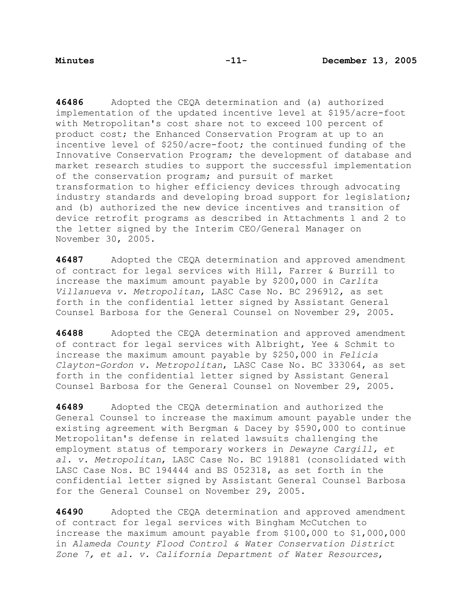**46486** Adopted the CEQA determination and (a) authorized implementation of the updated incentive level at \$195/acre-foot with Metropolitan's cost share not to exceed 100 percent of product cost; the Enhanced Conservation Program at up to an incentive level of \$250/acre-foot; the continued funding of the Innovative Conservation Program; the development of database and market research studies to support the successful implementation of the conservation program; and pursuit of market transformation to higher efficiency devices through advocating industry standards and developing broad support for legislation; and (b) authorized the new device incentives and transition of device retrofit programs as described in Attachments 1 and 2 to the letter signed by the Interim CEO/General Manager on November 30, 2005.

**46487** Adopted the CEQA determination and approved amendment of contract for legal services with Hill, Farrer & Burrill to increase the maximum amount payable by \$200,000 in *Carlita Villanueva v. Metropolitan*, LASC Case No. BC 296912, as set forth in the confidential letter signed by Assistant General Counsel Barbosa for the General Counsel on November 29, 2005.

**46488** Adopted the CEQA determination and approved amendment of contract for legal services with Albright, Yee & Schmit to increase the maximum amount payable by \$250,000 in *Felicia Clayton-Gordon v. Metropolitan*, LASC Case No. BC 333064, as set forth in the confidential letter signed by Assistant General Counsel Barbosa for the General Counsel on November 29, 2005.

**46489** Adopted the CEQA determination and authorized the General Counsel to increase the maximum amount payable under the existing agreement with Bergman & Dacey by \$590,000 to continue Metropolitan's defense in related lawsuits challenging the employment status of temporary workers in *Dewayne Cargill, et al. v. Metropolitan*, LASC Case No. BC 191881 (consolidated with LASC Case Nos. BC 194444 and BS 052318, as set forth in the confidential letter signed by Assistant General Counsel Barbosa for the General Counsel on November 29, 2005.

**46490** Adopted the CEQA determination and approved amendment of contract for legal services with Bingham McCutchen to increase the maximum amount payable from \$100,000 to \$1,000,000 in *Alameda County Flood Control & Water Conservation District Zone 7, et al. v. California Department of Water Resources*,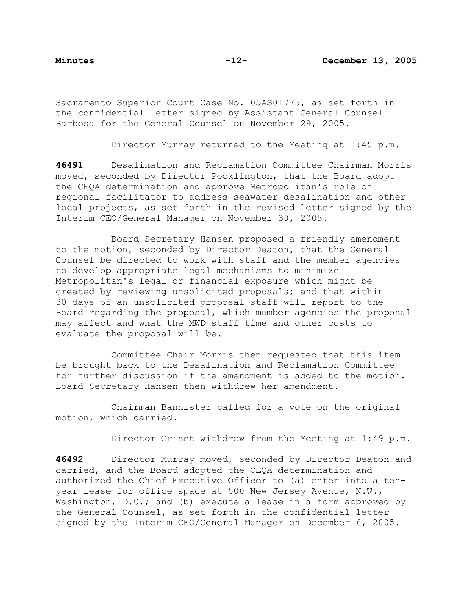Sacramento Superior Court Case No. 05AS01775, as set forth in the confidential letter signed by Assistant General Counsel Barbosa for the General Counsel on November 29, 2005.

Director Murray returned to the Meeting at 1:45 p.m.

**46491** Desalination and Reclamation Committee Chairman Morris moved, seconded by Director Pocklington, that the Board adopt the CEQA determination and approve Metropolitan's role of regional facilitator to address seawater desalination and other local projects, as set forth in the revised letter signed by the Interim CEO/General Manager on November 30, 2005.

 Board Secretary Hansen proposed a friendly amendment to the motion, seconded by Director Deaton, that the General Counsel be directed to work with staff and the member agencies to develop appropriate legal mechanisms to minimize Metropolitan's legal or financial exposure which might be created by reviewing unsolicited proposals; and that within 30 days of an unsolicited proposal staff will report to the Board regarding the proposal, which member agencies the proposal may affect and what the MWD staff time and other costs to evaluate the proposal will be.

 Committee Chair Morris then requested that this item be brought back to the Desalination and Reclamation Committee for further discussion if the amendment is added to the motion. Board Secretary Hansen then withdrew her amendment.

 Chairman Bannister called for a vote on the original motion, which carried.

Director Griset withdrew from the Meeting at 1:49 p.m.

**46492** Director Murray moved, seconded by Director Deaton and carried, and the Board adopted the CEQA determination and authorized the Chief Executive Officer to (a) enter into a tenyear lease for office space at 500 New Jersey Avenue, N.W., Washington, D.C.; and (b) execute a lease in a form approved by the General Counsel, as set forth in the confidential letter signed by the Interim CEO/General Manager on December 6, 2005.